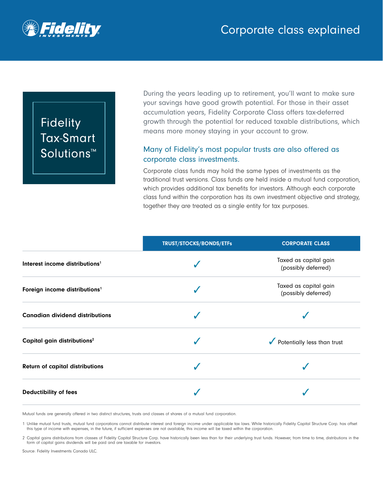

# **Fidelity Tax-Smart** Solutions™

During the years leading up to retirement, you'll want to make sure your savings have good growth potential. For those in their asset accumulation years, Fidelity Corporate Class offers tax-deferred growth through the potential for reduced taxable distributions, which means more money staying in your account to grow.

### Many of Fidelity's most popular trusts are also offered as corporate class investments.

Corporate class funds may hold the same types of investments as the traditional trust versions. Class funds are held inside a mutual fund corporation, which provides additional tax benefits for investors. Although each corporate class fund within the corporation has its own investment objective and strategy, together they are treated as a single entity for tax purposes.

|                                            | <b>TRUST/STOCKS/BONDS/ETFs</b> | <b>CORPORATE CLASS</b>                       |
|--------------------------------------------|--------------------------------|----------------------------------------------|
| Interest income distributions <sup>1</sup> |                                | Taxed as capital gain<br>(possibly deferred) |
| Foreign income distributions <sup>1</sup>  |                                | Taxed as capital gain<br>(possibly deferred) |
| <b>Canadian dividend distributions</b>     |                                |                                              |
| Capital gain distributions <sup>2</sup>    |                                | Potentially less than trust                  |
| <b>Return of capital distributions</b>     |                                |                                              |
| <b>Deductibility of fees</b>               |                                |                                              |

Mutual funds are generally offered in two distinct structures, trusts and classes of shares of a mutual fund corporation.

1 Unlike mutual fund trusts, mutual fund corporations cannot distribute interest and foreign income under applicable tax laws. While historically Fidelity Capital Structure Corp. has offset this type of income with expenses, in the future, if sufficient expenses are not available, this income will be taxed within the corporation.

2 Capital gains distributions from classes of Fidelity Capital Structure Corp. have historically been less than for their underlying trust funds. However, from time to time, distributions in the form of capital gains dividends will be paid and are taxable for investors.

Source: Fidelity Investments Canada ULC.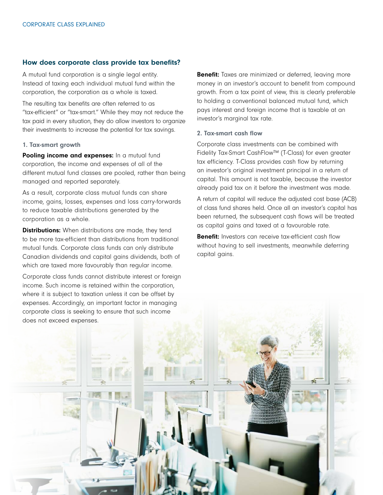#### How does corporate class provide tax benefits?

A mutual fund corporation is a single legal entity. Instead of taxing each individual mutual fund within the corporation, the corporation as a whole is taxed.

The resulting tax benefits are often referred to as "tax‑efficient" or "tax-smart." While they may not reduce the tax paid in every situation, they do allow investors to organize their investments to increase the potential for tax savings.

#### 1. Tax-smart growth

Pooling income and expenses: In a mutual fund corporation, the income and expenses of all of the different mutual fund classes are pooled, rather than being managed and reported separately.

As a result, corporate class mutual funds can share income, gains, losses, expenses and loss carry-forwards to reduce taxable distributions generated by the corporation as a whole.

**Distributions:** When distributions are made, they tend to be more tax-efficient than distributions from traditional mutual funds. Corporate class funds can only distribute Canadian dividends and capital gains dividends, both of which are taxed more favourably than regular income.

Corporate class funds cannot distribute interest or foreign income. Such income is retained within the corporation, where it is subject to taxation unless it can be offset by expenses. Accordingly, an important factor in managing

**Benefit:** Taxes are minimized or deferred, leaving more money in an investor's account to benefit from compound growth. From a tax point of view, this is clearly preferable to holding a conventional balanced mutual fund, which pays interest and foreign income that is taxable at an investor's marginal tax rate.

#### 2. Tax-smart cash flow

Corporate class investments can be combined with Fidelity Tax-Smart CashFlow™ (T-Class) for even greater tax efficiency. T-Class provides cash flow by returning an investor's original investment principal in a return of capital. This amount is not taxable, because the investor already paid tax on it before the investment was made.

A return of capital will reduce the adjusted cost base (ACB) of class fund shares held. Once all an investor's capital has been returned, the subsequent cash flows will be treated as capital gains and taxed at a favourable rate.

**Benefit:** Investors can receive tax-efficient cash flow without having to sell investments, meanwhile deferring capital gains.

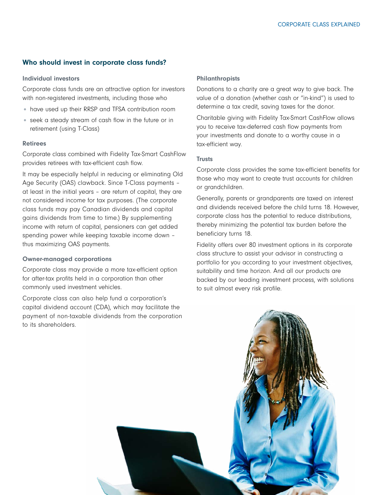#### Who should invest in corporate class funds?

#### Individual investors

Corporate class funds are an attractive option for investors with non-registered investments, including those who

- have used up their RRSP and TFSA contribution room
- seek a steady stream of cash flow in the future or in retirement (using T-Class)

#### Retirees

Corporate class combined with Fidelity Tax-Smart CashFlow provides retirees with tax-efficient cash flow.

It may be especially helpful in reducing or eliminating Old Age Security (OAS) clawback. Since T-Class payments – at least in the initial years – are return of capital, they are not considered income for tax purposes. (The corporate class funds may pay Canadian dividends and capital gains dividends from time to time.) By supplementing income with return of capital, pensioners can get added spending power while keeping taxable income down – thus maximizing OAS payments.

#### Owner-managed corporations

Corporate class may provide a more tax-efficient option for after-tax profits held in a corporation than other commonly used investment vehicles.

Corporate class can also help fund a corporation's capital dividend account (CDA), which may facilitate the payment of non-taxable dividends from the corporation to its shareholders.

#### Philanthropists

Donations to a charity are a great way to give back. The value of a donation (whether cash or "in-kind") is used to determine a tax credit, saving taxes for the donor.

Charitable giving with Fidelity Tax-Smart CashFlow allows you to receive tax-deferred cash flow payments from your investments and donate to a worthy cause in a tax-efficient way.

#### **Trusts**

Corporate class provides the same tax-efficient benefits for those who may want to create trust accounts for children or grandchildren.

Generally, parents or grandparents are taxed on interest and dividends received before the child turns 18. However, corporate class has the potential to reduce distributions, thereby minimizing the potential tax burden before the beneficiary turns 18.

Fidelity offers over 80 investment options in its corporate class structure to assist your advisor in constructing a portfolio for you according to your investment objectives, suitability and time horizon. And all our products are backed by our leading investment process, with solutions to suit almost every risk profile.